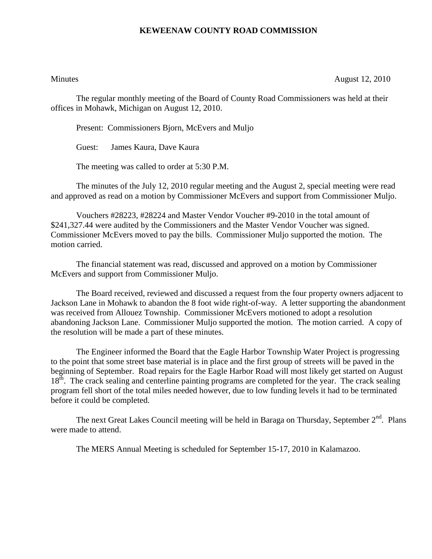## **KEWEENAW COUNTY ROAD COMMISSION**

Minutes August 12, 2010

The regular monthly meeting of the Board of County Road Commissioners was held at their offices in Mohawk, Michigan on August 12, 2010.

Present: Commissioners Bjorn, McEvers and Muljo

Guest: James Kaura, Dave Kaura

The meeting was called to order at 5:30 P.M.

The minutes of the July 12, 2010 regular meeting and the August 2, special meeting were read and approved as read on a motion by Commissioner McEvers and support from Commissioner Muljo.

Vouchers #28223, #28224 and Master Vendor Voucher #9-2010 in the total amount of \$241,327.44 were audited by the Commissioners and the Master Vendor Voucher was signed. Commissioner McEvers moved to pay the bills. Commissioner Muljo supported the motion. The motion carried.

The financial statement was read, discussed and approved on a motion by Commissioner McEvers and support from Commissioner Muljo.

The Board received, reviewed and discussed a request from the four property owners adjacent to Jackson Lane in Mohawk to abandon the 8 foot wide right-of-way. A letter supporting the abandonment was received from Allouez Township. Commissioner McEvers motioned to adopt a resolution abandoning Jackson Lane. Commissioner Muljo supported the motion. The motion carried. A copy of the resolution will be made a part of these minutes.

The Engineer informed the Board that the Eagle Harbor Township Water Project is progressing to the point that some street base material is in place and the first group of streets will be paved in the beginning of September. Road repairs for the Eagle Harbor Road will most likely get started on August 18<sup>th</sup>. The crack sealing and centerline painting programs are completed for the year. The crack sealing program fell short of the total miles needed however, due to low funding levels it had to be terminated before it could be completed.

The next Great Lakes Council meeting will be held in Baraga on Thursday, September  $2<sup>nd</sup>$ . Plans were made to attend.

The MERS Annual Meeting is scheduled for September 15-17, 2010 in Kalamazoo.